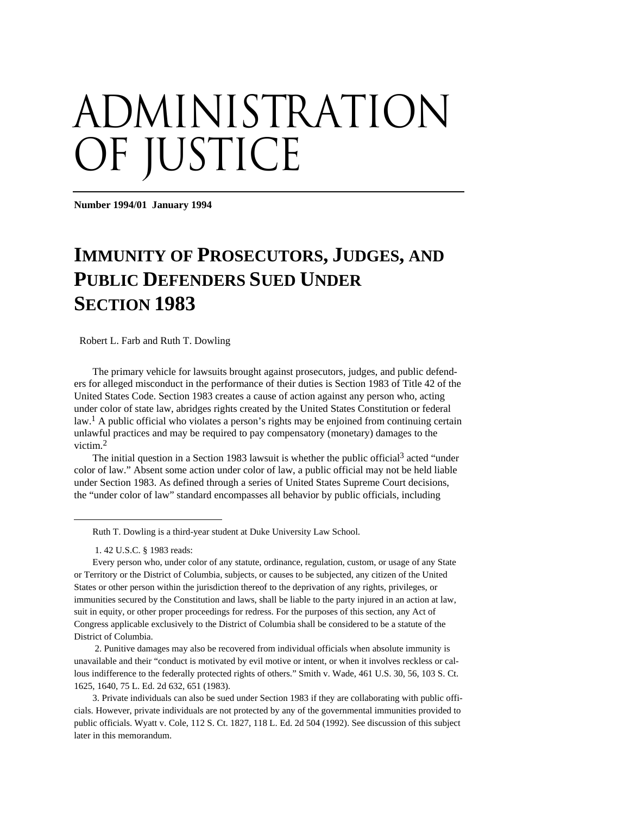# administration OF JUSTICE

**Number 1994/01 January 1994** 

# **IMMUNITY OF PROSECUTORS, JUDGES, AND PUBLIC DEFENDERS SUED UNDER SECTION 1983**

Robert L. Farb and Ruth T. Dowling

The primary vehicle for lawsuits brought against prosecutors, judges, and public defenders for alleged misconduct in the performance of their duties is Section 1983 of Title 42 of the United States Code. Section 1983 creates a cause of action against any person who, acting under color of state law, abridges rights created by the United States Constitution or federal law.<sup>1</sup> A public official who violates a person's rights may be enjoined from continuing certain unlawful practices and may be required to pay compensatory (monetary) damages to the victim.2

The initial question in a Section 1983 lawsuit is whether the public official<sup>3</sup> acted "under color of law." Absent some action under color of law, a public official may not be held liable under Section 1983. As defined through a series of United States Supreme Court decisions, the "under color of law" standard encompasses all behavior by public officials, including

Ruth T. Dowling is a third-year student at Duke University Law School.

1. 42 U.S.C. § 1983 reads:

1

Every person who, under color of any statute, ordinance, regulation, custom, or usage of any State or Territory or the District of Columbia, subjects, or causes to be subjected, any citizen of the United States or other person within the jurisdiction thereof to the deprivation of any rights, privileges, or immunities secured by the Constitution and laws, shall be liable to the party injured in an action at law, suit in equity, or other proper proceedings for redress. For the purposes of this section, any Act of Congress applicable exclusively to the District of Columbia shall be considered to be a statute of the District of Columbia.

2. Punitive damages may also be recovered from individual officials when absolute immunity is unavailable and their "conduct is motivated by evil motive or intent, or when it involves reckless or callous indifference to the federally protected rights of others." Smith v. Wade, 461 U.S. 30, 56, 103 S. Ct. 1625, 1640, 75 L. Ed. 2d 632, 651 (1983).

3. Private individuals can also be sued under Section 1983 if they are collaborating with public officials. However, private individuals are not protected by any of the governmental immunities provided to public officials. Wyatt v. Cole, 112 S. Ct. 1827, 118 L. Ed. 2d 504 (1992). See discussion of this subject later in this memorandum.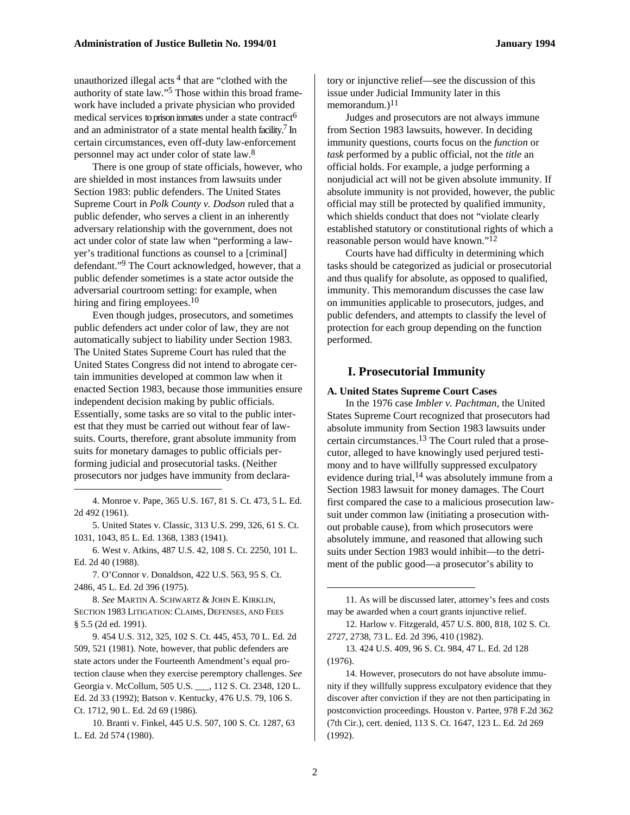unauthorized illegal acts  $4$  that are "clothed with the authority of state law."5 Those within this broad framework have included a private physician who provided medical services to prison inmates under a state contract<sup>6</sup> and an administrator of a state mental health facility.<sup>7</sup> In certain circumstances, even off-duty law-enforcement personnel may act under color of state law.8

There is one group of state officials, however, who are shielded in most instances from lawsuits under Section 1983: public defenders. The United States Supreme Court in *Polk County v. Dodson* ruled that a public defender, who serves a client in an inherently adversary relationship with the government, does not act under color of state law when "performing a lawyer's traditional functions as counsel to a [criminal] defendant."9 The Court acknowledged, however, that a public defender sometimes is a state actor outside the adversarial courtroom setting: for example, when hiring and firing employees.<sup>10</sup>

Even though judges, prosecutors, and sometimes public defenders act under color of law, they are not automatically subject to liability under Section 1983. The United States Supreme Court has ruled that the United States Congress did not intend to abrogate certain immunities developed at common law when it enacted Section 1983, because those immunities ensure independent decision making by public officials. Essentially, some tasks are so vital to the public interest that they must be carried out without fear of lawsuits. Courts, therefore, grant absolute immunity from suits for monetary damages to public officials performing judicial and prosecutorial tasks. (Neither prosecutors nor judges have immunity from declara-

4. Monroe v. Pape, 365 U.S. 167, 81 S. Ct. 473, 5 L. Ed. 2d 492 (1961).

1

5. United States v. Classic, 313 U.S. 299, 326, 61 S. Ct. 1031, 1043, 85 L. Ed. 1368, 1383 (1941).

6. West v. Atkins, 487 U.S. 42, 108 S. Ct. 2250, 101 L. Ed. 2d 40 (1988).

7. O'Connor v. Donaldson, 422 U.S. 563, 95 S. Ct. 2486, 45 L. Ed. 2d 396 (1975).

8. *See* MARTIN A. SCHWARTZ & JOHN E. KIRKLIN, SECTION 1983 LITIGATION: CLAIMS, DEFENSES, AND FEES § 5.5 (2d ed. 1991).

9. 454 U.S. 312, 325, 102 S. Ct. 445, 453, 70 L. Ed. 2d 509, 521 (1981). Note, however, that public defenders are state actors under the Fourteenth Amendment's equal protection clause when they exercise peremptory challenges. *See* Georgia v. McCollum, 505 U.S. \_\_\_, 112 S. Ct. 2348, 120 L. Ed. 2d 33 (1992); Batson v. Kentucky, 476 U.S. 79, 106 S. Ct. 1712, 90 L. Ed. 2d 69 (1986).

10. Branti v. Finkel, 445 U.S. 507, 100 S. Ct. 1287, 63 L. Ed. 2d 574 (1980).

tory or injunctive relief—see the discussion of this issue under Judicial Immunity later in this memorandum.) $11$ 

Judges and prosecutors are not always immune from Section 1983 lawsuits, however. In deciding immunity questions, courts focus on the *function* or *task* performed by a public official, not the *title* an official holds. For example, a judge performing a nonjudicial act will not be given absolute immunity. If absolute immunity is not provided, however, the public official may still be protected by qualified immunity, which shields conduct that does not "violate clearly established statutory or constitutional rights of which a reasonable person would have known."12

Courts have had difficulty in determining which tasks should be categorized as judicial or prosecutorial and thus qualify for absolute, as opposed to qualified, immunity. This memorandum discusses the case law on immunities applicable to prosecutors, judges, and public defenders, and attempts to classify the level of protection for each group depending on the function performed.

#### **I. Prosecutorial Immunity**

#### **A. United States Supreme Court Cases**

In the 1976 case *Imbler v. Pachtman*, the United States Supreme Court recognized that prosecutors had absolute immunity from Section 1983 lawsuits under certain circumstances.13 The Court ruled that a prosecutor, alleged to have knowingly used perjured testimony and to have willfully suppressed exculpatory evidence during trial,  $14$  was absolutely immune from a Section 1983 lawsuit for money damages. The Court first compared the case to a malicious prosecution lawsuit under common law (initiating a prosecution without probable cause), from which prosecutors were absolutely immune, and reasoned that allowing such suits under Section 1983 would inhibit—to the detriment of the public good—a prosecutor's ability to

14. However, prosecutors do not have absolute immunity if they willfully suppress exculpatory evidence that they discover after conviction if they are not then participating in postconviction proceedings. Houston v. Partee, 978 F.2d 362 (7th Cir.), cert. denied, 113 S. Ct. 1647, 123 L. Ed. 2d 269 (1992).

1

<sup>11.</sup> As will be discussed later, attorney's fees and costs may be awarded when a court grants injunctive relief.

<sup>12.</sup> Harlow v. Fitzgerald, 457 U.S. 800, 818, 102 S. Ct. 2727, 2738, 73 L. Ed. 2d 396, 410 (1982).

<sup>13. 424</sup> U.S. 409, 96 S. Ct. 984, 47 L. Ed. 2d 128 (1976).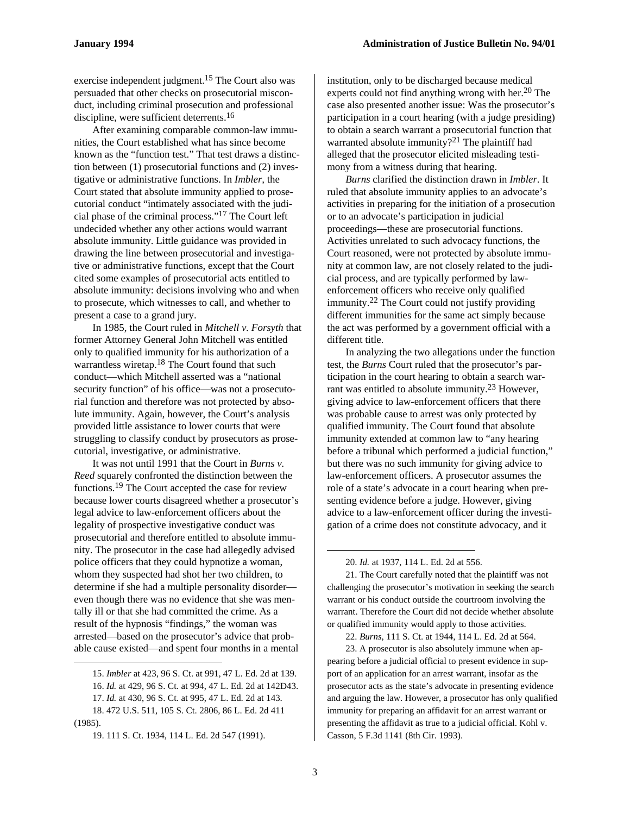exercise independent judgment.15 The Court also was persuaded that other checks on prosecutorial misconduct, including criminal prosecution and professional discipline, were sufficient deterrents.16

After examining comparable common-law immunities, the Court established what has since become known as the "function test." That test draws a distinction between (1) prosecutorial functions and (2) investigative or administrative functions. In *Imbler,* the Court stated that absolute immunity applied to prosecutorial conduct "intimately associated with the judicial phase of the criminal process."17 The Court left undecided whether any other actions would warrant absolute immunity. Little guidance was provided in drawing the line between prosecutorial and investigative or administrative functions, except that the Court cited some examples of prosecutorial acts entitled to absolute immunity: decisions involving who and when to prosecute, which witnesses to call, and whether to present a case to a grand jury.

In 1985, the Court ruled in *Mitchell v. Forsyth* that former Attorney General John Mitchell was entitled only to qualified immunity for his authorization of a warrantless wiretap.<sup>18</sup> The Court found that such conduct—which Mitchell asserted was a "national security function" of his office—was not a prosecutorial function and therefore was not protected by absolute immunity. Again, however, the Court's analysis provided little assistance to lower courts that were struggling to classify conduct by prosecutors as prosecutorial, investigative, or administrative.

It was not until 1991 that the Court in *Burns v. Reed* squarely confronted the distinction between the functions.19 The Court accepted the case for review because lower courts disagreed whether a prosecutor's legal advice to law-enforcement officers about the legality of prospective investigative conduct was prosecutorial and therefore entitled to absolute immunity. The prosecutor in the case had allegedly advised police officers that they could hypnotize a woman, whom they suspected had shot her two children, to determine if she had a multiple personality disorder even though there was no evidence that she was mentally ill or that she had committed the crime. As a result of the hypnosis "findings," the woman was arrested—based on the prosecutor's advice that probable cause existed—and spent four months in a mental

1

institution, only to be discharged because medical experts could not find anything wrong with her.<sup>20</sup> The case also presented another issue: Was the prosecutor's participation in a court hearing (with a judge presiding) to obtain a search warrant a prosecutorial function that warranted absolute immunity?<sup>21</sup> The plaintiff had alleged that the prosecutor elicited misleading testimony from a witness during that hearing.

*Burns* clarified the distinction drawn in *Imbler*. It ruled that absolute immunity applies to an advocate's activities in preparing for the initiation of a prosecution or to an advocate's participation in judicial proceedings—these are prosecutorial functions. Activities unrelated to such advocacy functions, the Court reasoned, were not protected by absolute immunity at common law, are not closely related to the judicial process, and are typically performed by lawenforcement officers who receive only qualified immunity.22 The Court could not justify providing different immunities for the same act simply because the act was performed by a government official with a different title.

In analyzing the two allegations under the function test, the *Burns* Court ruled that the prosecutor's participation in the court hearing to obtain a search warrant was entitled to absolute immunity.<sup>23</sup> However, giving advice to law-enforcement officers that there was probable cause to arrest was only protected by qualified immunity. The Court found that absolute immunity extended at common law to "any hearing before a tribunal which performed a judicial function," but there was no such immunity for giving advice to law-enforcement officers. A prosecutor assumes the role of a state's advocate in a court hearing when presenting evidence before a judge. However, giving advice to a law-enforcement officer during the investigation of a crime does not constitute advocacy, and it

21. The Court carefully noted that the plaintiff was not challenging the prosecutor's motivation in seeking the search warrant or his conduct outside the courtroom involving the warrant. Therefore the Court did not decide whether absolute or qualified immunity would apply to those activities.

22. *Burns*, 111 S. Ct. at 1944, 114 L. Ed. 2d at 564.

23. A prosecutor is also absolutely immune when appearing before a judicial official to present evidence in support of an application for an arrest warrant, insofar as the prosecutor acts as the state's advocate in presenting evidence and arguing the law. However, a prosecutor has only qualified immunity for preparing an affidavit for an arrest warrant or presenting the affidavit as true to a judicial official. Kohl v. Casson, 5 F.3d 1141 (8th Cir. 1993).

<sup>15.</sup> *Imbler* at 423, 96 S. Ct. at 991, 47 L. Ed. 2d at 139. 16. *Id.* at 429, 96 S. Ct. at 994, 47 L. Ed. 2d at 142Ð43. 17. *Id.* at 430, 96 S. Ct. at 995, 47 L. Ed. 2d at 143.

<sup>18. 472</sup> U.S. 511, 105 S. Ct. 2806, 86 L. Ed. 2d 411

<sup>(1985).</sup> 

<sup>19. 111</sup> S. Ct. 1934, 114 L. Ed. 2d 547 (1991).

<sup>20.</sup> *Id.* at 1937, 114 L. Ed. 2d at 556.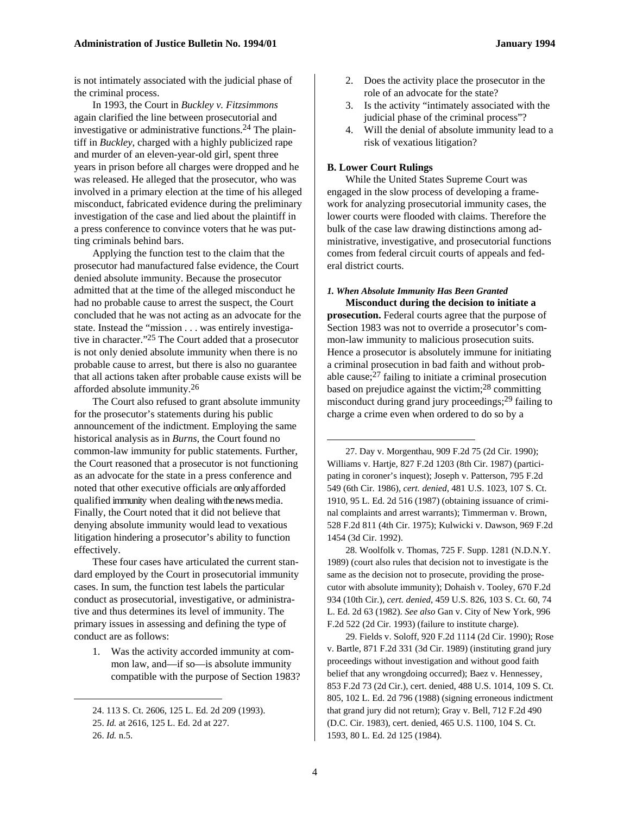is not intimately associated with the judicial phase of the criminal process.

In 1993, the Court in *Buckley v. Fitzsimmons*  again clarified the line between prosecutorial and investigative or administrative functions.24 The plaintiff in *Buckley*, charged with a highly publicized rape and murder of an eleven-year-old girl, spent three years in prison before all charges were dropped and he was released. He alleged that the prosecutor, who was involved in a primary election at the time of his alleged misconduct, fabricated evidence during the preliminary investigation of the case and lied about the plaintiff in a press conference to convince voters that he was putting criminals behind bars.

Applying the function test to the claim that the prosecutor had manufactured false evidence, the Court denied absolute immunity. Because the prosecutor admitted that at the time of the alleged misconduct he had no probable cause to arrest the suspect, the Court concluded that he was not acting as an advocate for the state. Instead the "mission . . . was entirely investigative in character."25 The Court added that a prosecutor is not only denied absolute immunity when there is no probable cause to arrest, but there is also no guarantee that all actions taken after probable cause exists will be afforded absolute immunity.26

The Court also refused to grant absolute immunity for the prosecutor's statements during his public announcement of the indictment. Employing the same historical analysis as in *Burns*, the Court found no common-law immunity for public statements. Further, the Court reasoned that a prosecutor is not functioning as an advocate for the state in a press conference and noted that other executive officials are only afforded qualified immunity when dealing with the news media. Finally, the Court noted that it did not believe that denying absolute immunity would lead to vexatious litigation hindering a prosecutor's ability to function effectively.

These four cases have articulated the current standard employed by the Court in prosecutorial immunity cases. In sum, the function test labels the particular conduct as prosecutorial, investigative, or administrative and thus determines its level of immunity. The primary issues in assessing and defining the type of conduct are as follows:

1. Was the activity accorded immunity at common law, and—if so—is absolute immunity compatible with the purpose of Section 1983?

1

- 2. Does the activity place the prosecutor in the role of an advocate for the state?
- 3. Is the activity "intimately associated with the judicial phase of the criminal process"?
- 4. Will the denial of absolute immunity lead to a risk of vexatious litigation?

#### **B. Lower Court Rulings**

While the United States Supreme Court was engaged in the slow process of developing a framework for analyzing prosecutorial immunity cases, the lower courts were flooded with claims. Therefore the bulk of the case law drawing distinctions among administrative, investigative, and prosecutorial functions comes from federal circuit courts of appeals and federal district courts.

#### *1. When Absolute Immunity Has Been Granted* **Misconduct during the decision to initiate a**

**prosecution.** Federal courts agree that the purpose of Section 1983 was not to override a prosecutor's common-law immunity to malicious prosecution suits. Hence a prosecutor is absolutely immune for initiating a criminal prosecution in bad faith and without probable cause; $27$  failing to initiate a criminal prosecution based on prejudice against the victim;28 committing misconduct during grand jury proceedings;<sup>29</sup> failing to charge a crime even when ordered to do so by a

27. Day v. Morgenthau, 909 F.2d 75 (2d Cir. 1990); Williams v. Hartje, 827 F.2d 1203 (8th Cir. 1987) (participating in coroner's inquest); Joseph v. Patterson, 795 F.2d 549 (6th Cir. 1986), *cert. denied*, 481 U.S. 1023, 107 S. Ct. 1910, 95 L. Ed. 2d 516 (1987) (obtaining issuance of criminal complaints and arrest warrants); Timmerman v. Brown, 528 F.2d 811 (4th Cir. 1975); Kulwicki v. Dawson, 969 F.2d 1454 (3d Cir. 1992).

28. Woolfolk v. Thomas, 725 F. Supp. 1281 (N.D.N.Y. 1989) (court also rules that decision not to investigate is the same as the decision not to prosecute, providing the prosecutor with absolute immunity); Dohaish v. Tooley, 670 F.2d 934 (10th Cir.), *cert. denied*, 459 U.S. 826, 103 S. Ct. 60, 74 L. Ed. 2d 63 (1982). *See also* Gan v. City of New York, 996 F.2d 522 (2d Cir. 1993) (failure to institute charge).

29. Fields v. Soloff, 920 F.2d 1114 (2d Cir. 1990); Rose v. Bartle, 871 F.2d 331 (3d Cir. 1989) (instituting grand jury proceedings without investigation and without good faith belief that any wrongdoing occurred); Baez v. Hennessey, 853 F.2d 73 (2d Cir.), cert. denied, 488 U.S. 1014, 109 S. Ct. 805, 102 L. Ed. 2d 796 (1988) (signing erroneous indictment that grand jury did not return); Gray v. Bell, 712 F.2d 490 (D.C. Cir. 1983), cert. denied, 465 U.S. 1100, 104 S. Ct. 1593, 80 L. Ed. 2d 125 (1984).

<sup>24. 113</sup> S. Ct. 2606, 125 L. Ed. 2d 209 (1993).

<sup>25.</sup> *Id.* at 2616, 125 L. Ed. 2d at 227.

<sup>26.</sup> *Id.* n.5.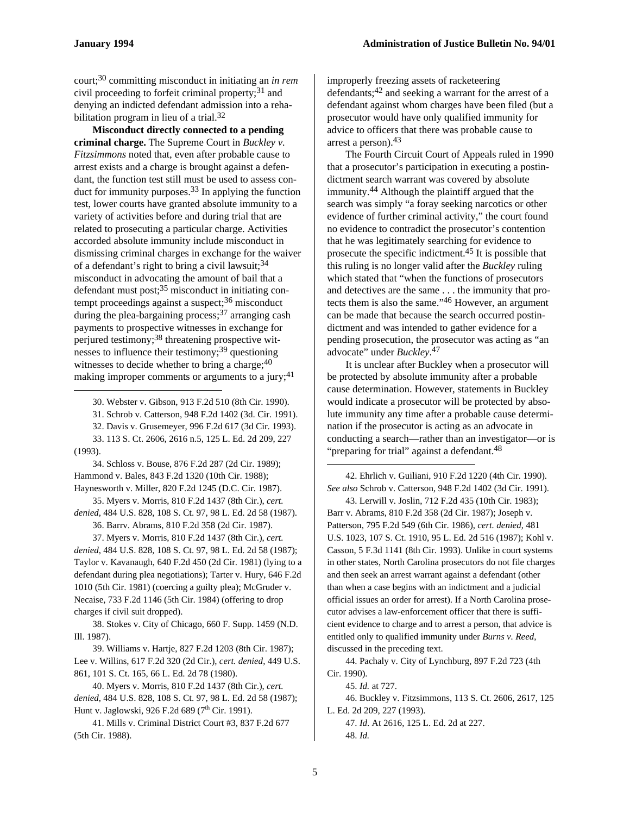court;30 committing misconduct in initiating an *in rem* civil proceeding to forfeit criminal property;  $31$  and denying an indicted defendant admission into a rehabilitation program in lieu of a trial.<sup>32</sup>

**Misconduct directly connected to a pending criminal charge.** The Supreme Court in *Buckley v. Fitzsimmons* noted that, even after probable cause to arrest exists and a charge is brought against a defendant, the function test still must be used to assess conduct for immunity purposes.33 In applying the function test, lower courts have granted absolute immunity to a variety of activities before and during trial that are related to prosecuting a particular charge. Activities accorded absolute immunity include misconduct in dismissing criminal charges in exchange for the waiver of a defendant's right to bring a civil lawsuit;  $34$ misconduct in advocating the amount of bail that a defendant must post;35 misconduct in initiating contempt proceedings against a suspect;<sup>36</sup> misconduct during the plea-bargaining process;<sup>37</sup> arranging cash payments to prospective witnesses in exchange for perjured testimony;<sup>38</sup> threatening prospective witnesses to influence their testimony;<sup>39</sup> questioning witnesses to decide whether to bring a charge;  $40$ making improper comments or arguments to a jury;  $41$  $\overline{a}$ 

30. Webster v. Gibson, 913 F.2d 510 (8th Cir. 1990).

31. Schrob v. Catterson, 948 F.2d 1402 (3d. Cir. 1991). 32. Davis v. Grusemeyer, 996 F.2d 617 (3d Cir. 1993).

33. 113 S. Ct. 2606, 2616 n.5, 125 L. Ed. 2d 209, 227 (1993).

34. Schloss v. Bouse, 876 F.2d 287 (2d Cir. 1989); Hammond v. Bales, 843 F.2d 1320 (10th Cir. 1988); Haynesworth v. Miller, 820 F.2d 1245 (D.C. Cir. 1987).

35. Myers v. Morris, 810 F.2d 1437 (8th Cir.), *cert. denied*, 484 U.S. 828, 108 S. Ct. 97, 98 L. Ed. 2d 58 (1987).

36. Barrv. Abrams, 810 F.2d 358 (2d Cir. 1987).

37. Myers v. Morris, 810 F.2d 1437 (8th Cir.), *cert. denied*, 484 U.S. 828, 108 S. Ct. 97, 98 L. Ed. 2d 58 (1987); Taylor v. Kavanaugh, 640 F.2d 450 (2d Cir. 1981) (lying to a defendant during plea negotiations); Tarter v. Hury, 646 F.2d 1010 (5th Cir. 1981) (coercing a guilty plea); McGruder v. Necaise, 733 F.2d 1146 (5th Cir. 1984) (offering to drop charges if civil suit dropped).

38. Stokes v. City of Chicago, 660 F. Supp. 1459 (N.D. Ill. 1987).

39. Williams v. Hartje, 827 F.2d 1203 (8th Cir. 1987); Lee v. Willins, 617 F.2d 320 (2d Cir.), *cert. denied*, 449 U.S. 861, 101 S. Ct. 165, 66 L. Ed. 2d 78 (1980).

40. Myers v. Morris, 810 F.2d 1437 (8th Cir.), *cert. denied*, 484 U.S. 828, 108 S. Ct. 97, 98 L. Ed. 2d 58 (1987); Hunt v. Jaglowski, 926 F.2d 689 (7<sup>th</sup> Cir. 1991).

41. Mills v. Criminal District Court #3, 837 F.2d 677 (5th Cir. 1988).

improperly freezing assets of racketeering defendants;42 and seeking a warrant for the arrest of a defendant against whom charges have been filed (but a prosecutor would have only qualified immunity for advice to officers that there was probable cause to arrest a person).43

The Fourth Circuit Court of Appeals ruled in 1990 that a prosecutor's participation in executing a postindictment search warrant was covered by absolute immunity.44 Although the plaintiff argued that the search was simply "a foray seeking narcotics or other evidence of further criminal activity," the court found no evidence to contradict the prosecutor's contention that he was legitimately searching for evidence to prosecute the specific indictment.45 It is possible that this ruling is no longer valid after the *Buckley* ruling which stated that "when the functions of prosecutors and detectives are the same . . . the immunity that protects them is also the same."46 However, an argument can be made that because the search occurred postindictment and was intended to gather evidence for a pending prosecution, the prosecutor was acting as "an advocate" under *Buckley*. 47

It is unclear after Buckley when a prosecutor will be protected by absolute immunity after a probable cause determination. However, statements in Buckley would indicate a prosecutor will be protected by absolute immunity any time after a probable cause determination if the prosecutor is acting as an advocate in conducting a search—rather than an investigator—or is "preparing for trial" against a defendant.<sup>48</sup>

42. Ehrlich v. Guiliani, 910 F.2d 1220 (4th Cir. 1990). *See also* Schrob v. Catterson, 948 F.2d 1402 (3d Cir. 1991).

43. Lerwill v. Joslin, 712 F.2d 435 (10th Cir. 1983); Barr v. Abrams, 810 F.2d 358 (2d Cir. 1987); Joseph v. Patterson, 795 F.2d 549 (6th Cir. 1986), *cert. denied*, 481 U.S. 1023, 107 S. Ct. 1910, 95 L. Ed. 2d 516 (1987); Kohl v. Casson, 5 F.3d 1141 (8th Cir. 1993). Unlike in court systems in other states, North Carolina prosecutors do not file charges and then seek an arrest warrant against a defendant (other than when a case begins with an indictment and a judicial official issues an order for arrest). If a North Carolina prosecutor advises a law-enforcement officer that there is sufficient evidence to charge and to arrest a person, that advice is entitled only to qualified immunity under *Burns v. Reed*, discussed in the preceding text.

44. Pachaly v. City of Lynchburg, 897 F.2d 723 (4th Cir. 1990).

45. *Id.* at 727.

46. Buckley v. Fitzsimmons, 113 S. Ct. 2606, 2617, 125 L. Ed. 2d 209, 227 (1993).

47. *Id*. At 2616, 125 L. Ed. 2d at 227. 48. *Id.*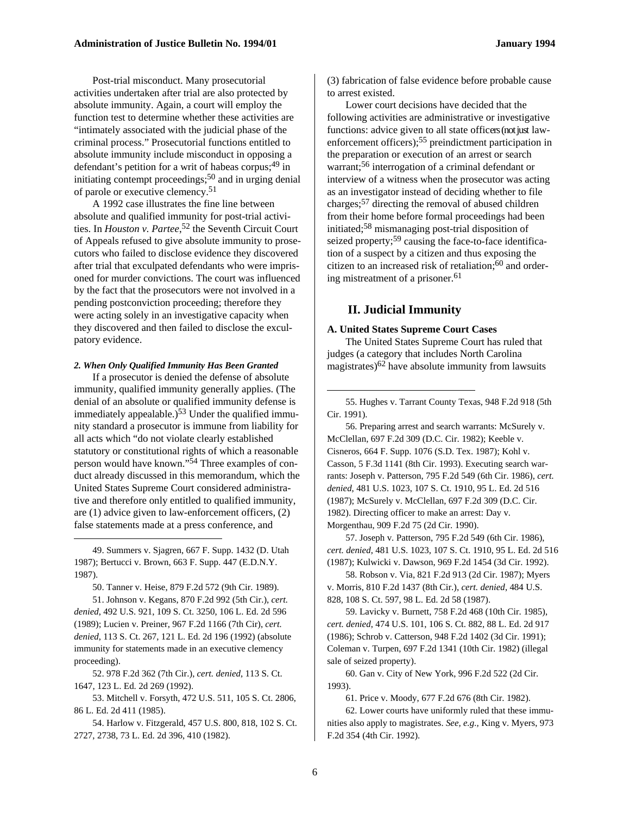Post-trial misconduct. Many prosecutorial activities undertaken after trial are also protected by absolute immunity. Again, a court will employ the function test to determine whether these activities are "intimately associated with the judicial phase of the criminal process." Prosecutorial functions entitled to absolute immunity include misconduct in opposing a defendant's petition for a writ of habeas corpus;  $49 \text{ in}$ initiating contempt proceedings;  $50$  and in urging denial of parole or executive clemency.51

A 1992 case illustrates the fine line between absolute and qualified immunity for post-trial activities. In *Houston v. Partee*, 52 the Seventh Circuit Court of Appeals refused to give absolute immunity to prosecutors who failed to disclose evidence they discovered after trial that exculpated defendants who were imprisoned for murder convictions. The court was influenced by the fact that the prosecutors were not involved in a pending postconviction proceeding; therefore they were acting solely in an investigative capacity when they discovered and then failed to disclose the exculpatory evidence.

#### *2. When Only Qualified Immunity Has Been Granted*

If a prosecutor is denied the defense of absolute immunity, qualified immunity generally applies. (The denial of an absolute or qualified immunity defense is immediately appealable.) $53$  Under the qualified immunity standard a prosecutor is immune from liability for all acts which "do not violate clearly established statutory or constitutional rights of which a reasonable person would have known."54 Three examples of conduct already discussed in this memorandum, which the United States Supreme Court considered administrative and therefore only entitled to qualified immunity, are (1) advice given to law-enforcement officers, (2) false statements made at a press conference, and

49. Summers v. Sjagren, 667 F. Supp. 1432 (D. Utah 1987); Bertucci v. Brown, 663 F. Supp. 447 (E.D.N.Y. 1987).

1

50. Tanner v. Heise, 879 F.2d 572 (9th Cir. 1989).

51. Johnson v. Kegans, 870 F.2d 992 (5th Cir.), *cert. denied*, 492 U.S. 921, 109 S. Ct. 3250, 106 L. Ed. 2d 596 (1989); Lucien v. Preiner, 967 F.2d 1166 (7th Cir), *cert. denied*, 113 S. Ct. 267, 121 L. Ed. 2d 196 (1992) (absolute immunity for statements made in an executive clemency proceeding).

52. 978 F.2d 362 (7th Cir.), *cert. denied*, 113 S. Ct. 1647, 123 L. Ed. 2d 269 (1992).

53. Mitchell v. Forsyth, 472 U.S. 511, 105 S. Ct. 2806, 86 L. Ed. 2d 411 (1985).

54. Harlow v. Fitzgerald, 457 U.S. 800, 818, 102 S. Ct. 2727, 2738, 73 L. Ed. 2d 396, 410 (1982).

(3) fabrication of false evidence before probable cause to arrest existed.

Lower court decisions have decided that the following activities are administrative or investigative functions: advice given to all state officers (not just lawenforcement officers);<sup>55</sup> preindictment participation in the preparation or execution of an arrest or search warrant;56 interrogation of a criminal defendant or interview of a witness when the prosecutor was acting as an investigator instead of deciding whether to file charges;57 directing the removal of abused children from their home before formal proceedings had been initiated;58 mismanaging post-trial disposition of seized property;<sup>59</sup> causing the face-to-face identification of a suspect by a citizen and thus exposing the citizen to an increased risk of retaliation;60 and ordering mistreatment of a prisoner.<sup>61</sup>

### **II. Judicial Immunity**

#### **A. United States Supreme Court Cases**

The United States Supreme Court has ruled that judges (a category that includes North Carolina magistrates) $62$  have absolute immunity from lawsuits

55. Hughes v. Tarrant County Texas, 948 F.2d 918 (5th Cir. 1991).

56. Preparing arrest and search warrants: McSurely v. McClellan, 697 F.2d 309 (D.C. Cir. 1982); Keeble v. Cisneros, 664 F. Supp. 1076 (S.D. Tex. 1987); Kohl v. Casson, 5 F.3d 1141 (8th Cir. 1993). Executing search warrants: Joseph v. Patterson, 795 F.2d 549 (6th Cir. 1986), *cert. denied*, 481 U.S. 1023, 107 S. Ct. 1910, 95 L. Ed. 2d 516 (1987); McSurely v. McClellan, 697 F.2d 309 (D.C. Cir. 1982). Directing officer to make an arrest: Day v. Morgenthau, 909 F.2d 75 (2d Cir. 1990).

57. Joseph v. Patterson, 795 F.2d 549 (6th Cir. 1986), *cert. denied*, 481 U.S. 1023, 107 S. Ct. 1910, 95 L. Ed. 2d 516 (1987); Kulwicki v. Dawson, 969 F.2d 1454 (3d Cir. 1992).

58. Robson v. Via, 821 F.2d 913 (2d Cir. 1987); Myers v. Morris, 810 F.2d 1437 (8th Cir.), *cert. denied*, 484 U.S. 828, 108 S. Ct. 597, 98 L. Ed. 2d 58 (1987).

59. Lavicky v. Burnett, 758 F.2d 468 (10th Cir. 1985), *cert. denied*, 474 U.S. 101, 106 S. Ct. 882, 88 L. Ed. 2d 917 (1986); Schrob v. Catterson, 948 F.2d 1402 (3d Cir. 1991); Coleman v. Turpen, 697 F.2d 1341 (10th Cir. 1982) (illegal sale of seized property).

60. Gan v. City of New York, 996 F.2d 522 (2d Cir. 1993).

61. Price v. Moody, 677 F.2d 676 (8th Cir. 1982).

62. Lower courts have uniformly ruled that these immunities also apply to magistrates. *See, e.g.,* King v. Myers, 973 F.2d 354 (4th Cir. 1992).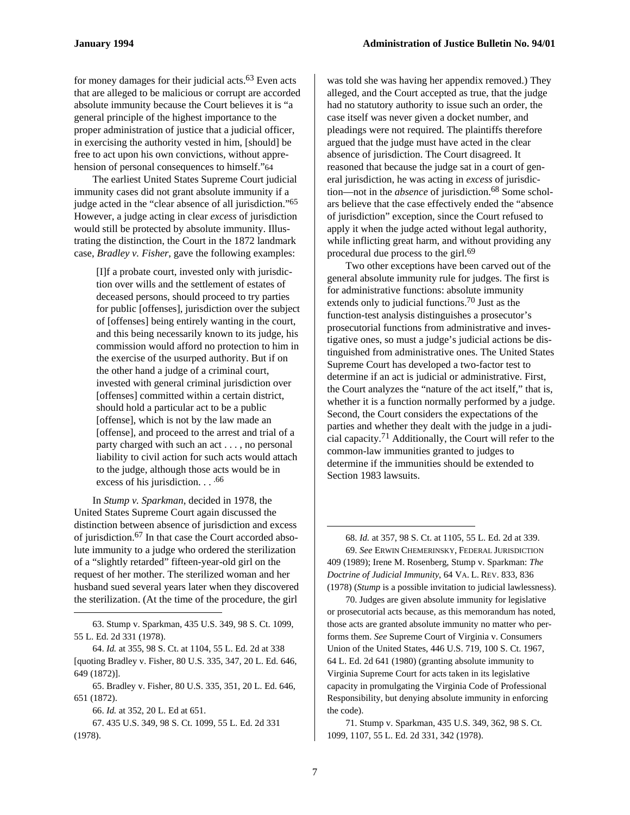for money damages for their judicial acts.63 Even acts that are alleged to be malicious or corrupt are accorded absolute immunity because the Court believes it is "a general principle of the highest importance to the proper administration of justice that a judicial officer, in exercising the authority vested in him, [should] be free to act upon his own convictions, without apprehension of personal consequences to himself."64

The earliest United States Supreme Court judicial immunity cases did not grant absolute immunity if a judge acted in the "clear absence of all jurisdiction."65 However, a judge acting in clear *excess* of jurisdiction would still be protected by absolute immunity. Illustrating the distinction, the Court in the 1872 landmark case, *Bradley v. Fisher*, gave the following examples:

[I]f a probate court, invested only with jurisdiction over wills and the settlement of estates of deceased persons, should proceed to try parties for public [offenses], jurisdiction over the subject of [offenses] being entirely wanting in the court, and this being necessarily known to its judge, his commission would afford no protection to him in the exercise of the usurped authority. But if on the other hand a judge of a criminal court, invested with general criminal jurisdiction over [offenses] committed within a certain district, should hold a particular act to be a public [offense], which is not by the law made an [offense], and proceed to the arrest and trial of a party charged with such an act . . . , no personal liability to civil action for such acts would attach to the judge, although those acts would be in excess of his jurisdiction. . . . <sup>66</sup>

In *Stump v. Sparkman*, decided in 1978, the United States Supreme Court again discussed the distinction between absence of jurisdiction and excess of jurisdiction.67 In that case the Court accorded absolute immunity to a judge who ordered the sterilization of a "slightly retarded" fifteen-year-old girl on the request of her mother. The sterilized woman and her husband sued several years later when they discovered the sterilization. (At the time of the procedure, the girl

 $\overline{a}$ 

was told she was having her appendix removed.) They alleged, and the Court accepted as true, that the judge had no statutory authority to issue such an order, the case itself was never given a docket number, and pleadings were not required. The plaintiffs therefore argued that the judge must have acted in the clear absence of jurisdiction. The Court disagreed. It reasoned that because the judge sat in a court of general jurisdiction, he was acting in *excess* of jurisdiction—not in the *absence* of jurisdiction.68 Some scholars believe that the case effectively ended the "absence of jurisdiction" exception, since the Court refused to apply it when the judge acted without legal authority, while inflicting great harm, and without providing any procedural due process to the girl.<sup>69</sup>

Two other exceptions have been carved out of the general absolute immunity rule for judges. The first is for administrative functions: absolute immunity extends only to judicial functions.<sup>70</sup> Just as the function-test analysis distinguishes a prosecutor's prosecutorial functions from administrative and investigative ones, so must a judge's judicial actions be distinguished from administrative ones. The United States Supreme Court has developed a two-factor test to determine if an act is judicial or administrative. First, the Court analyzes the "nature of the act itself," that is, whether it is a function normally performed by a judge. Second, the Court considers the expectations of the parties and whether they dealt with the judge in a judicial capacity.71 Additionally, the Court will refer to the common-law immunities granted to judges to determine if the immunities should be extended to Section 1983 lawsuits.

68. *Id.* at 357, 98 S. Ct. at 1105, 55 L. Ed. 2d at 339. 69. *See* ERWIN CHEMERINSKY, FEDERAL JURISDICTION 409 (1989); Irene M. Rosenberg, Stump v. Sparkman: *The Doctrine of Judicial Immunity*, 64 VA. L. REV. 833, 836 (1978) (*Stump* is a possible invitation to judicial lawlessness).

70. Judges are given absolute immunity for legislative or prosecutorial acts because, as this memorandum has noted, those acts are granted absolute immunity no matter who performs them. *See* Supreme Court of Virginia v. Consumers Union of the United States, 446 U.S. 719, 100 S. Ct. 1967, 64 L. Ed. 2d 641 (1980) (granting absolute immunity to Virginia Supreme Court for acts taken in its legislative capacity in promulgating the Virginia Code of Professional Responsibility, but denying absolute immunity in enforcing the code).

71. Stump v. Sparkman, 435 U.S. 349, 362, 98 S. Ct. 1099, 1107, 55 L. Ed. 2d 331, 342 (1978).

1

<sup>63.</sup> Stump v. Sparkman, 435 U.S. 349, 98 S. Ct. 1099, 55 L. Ed. 2d 331 (1978).

<sup>64.</sup> *Id.* at 355, 98 S. Ct. at 1104, 55 L. Ed. 2d at 338 [quoting Bradley v. Fisher, 80 U.S. 335, 347, 20 L. Ed. 646, 649 (1872)].

<sup>65.</sup> Bradley v. Fisher, 80 U.S. 335, 351, 20 L. Ed. 646, 651 (1872).

<sup>66.</sup> *Id.* at 352, 20 L. Ed at 651.

<sup>67. 435</sup> U.S. 349, 98 S. Ct. 1099, 55 L. Ed. 2d 331 (1978).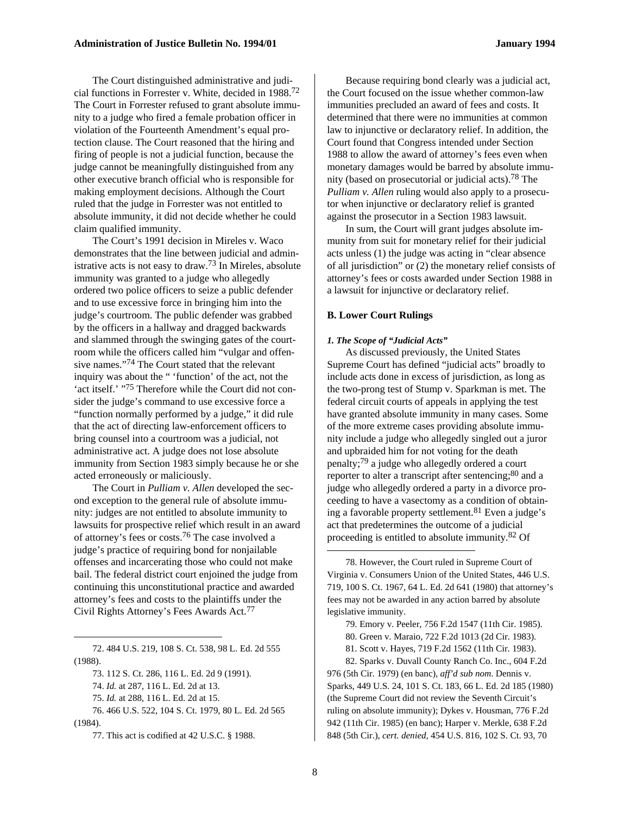The Court distinguished administrative and judicial functions in Forrester v. White, decided in 1988.72 The Court in Forrester refused to grant absolute immunity to a judge who fired a female probation officer in violation of the Fourteenth Amendment's equal protection clause. The Court reasoned that the hiring and firing of people is not a judicial function, because the judge cannot be meaningfully distinguished from any other executive branch official who is responsible for making employment decisions. Although the Court ruled that the judge in Forrester was not entitled to absolute immunity, it did not decide whether he could claim qualified immunity.

The Court's 1991 decision in Mireles v. Waco demonstrates that the line between judicial and administrative acts is not easy to draw.73 In Mireles, absolute immunity was granted to a judge who allegedly ordered two police officers to seize a public defender and to use excessive force in bringing him into the judge's courtroom. The public defender was grabbed by the officers in a hallway and dragged backwards and slammed through the swinging gates of the courtroom while the officers called him "vulgar and offensive names."74 The Court stated that the relevant inquiry was about the " 'function' of the act, not the 'act itself.' "75 Therefore while the Court did not consider the judge's command to use excessive force a "function normally performed by a judge," it did rule that the act of directing law-enforcement officers to bring counsel into a courtroom was a judicial, not administrative act. A judge does not lose absolute immunity from Section 1983 simply because he or she acted erroneously or maliciously.

The Court in *Pulliam v. Allen* developed the second exception to the general rule of absolute immunity: judges are not entitled to absolute immunity to lawsuits for prospective relief which result in an award of attorney's fees or costs.76 The case involved a judge's practice of requiring bond for nonjailable offenses and incarcerating those who could not make bail. The federal district court enjoined the judge from continuing this unconstitutional practice and awarded attorney's fees and costs to the plaintiffs under the Civil Rights Attorney's Fees Awards Act.77

72. 484 U.S. 219, 108 S. Ct. 538, 98 L. Ed. 2d 555 (1988).

 $\overline{a}$ 

77. This act is codified at 42 U.S.C. § 1988.

Because requiring bond clearly was a judicial act, the Court focused on the issue whether common-law immunities precluded an award of fees and costs. It determined that there were no immunities at common law to injunctive or declaratory relief. In addition, the Court found that Congress intended under Section 1988 to allow the award of attorney's fees even when monetary damages would be barred by absolute immunity (based on prosecutorial or judicial acts).78 The *Pulliam v. Allen* ruling would also apply to a prosecutor when injunctive or declaratory relief is granted against the prosecutor in a Section 1983 lawsuit.

In sum, the Court will grant judges absolute immunity from suit for monetary relief for their judicial acts unless (1) the judge was acting in "clear absence of all jurisdiction" or (2) the monetary relief consists of attorney's fees or costs awarded under Section 1988 in a lawsuit for injunctive or declaratory relief.

#### **B. Lower Court Rulings**

#### *1. The Scope of "Judicial Acts"*

As discussed previously, the United States Supreme Court has defined "judicial acts" broadly to include acts done in excess of jurisdiction, as long as the two-prong test of Stump v. Sparkman is met. The federal circuit courts of appeals in applying the test have granted absolute immunity in many cases. Some of the more extreme cases providing absolute immunity include a judge who allegedly singled out a juror and upbraided him for not voting for the death penalty;79 a judge who allegedly ordered a court reporter to alter a transcript after sentencing;<sup>80</sup> and a judge who allegedly ordered a party in a divorce proceeding to have a vasectomy as a condition of obtaining a favorable property settlement.81 Even a judge's act that predetermines the outcome of a judicial proceeding is entitled to absolute immunity.82 Of

79. Emory v. Peeler, 756 F.2d 1547 (11th Cir. 1985). 80. Green v. Maraio, 722 F.2d 1013 (2d Cir. 1983).

81. Scott v. Hayes, 719 F.2d 1562 (11th Cir. 1983).

82. Sparks v. Duvall County Ranch Co. Inc., 604 F.2d 976 (5th Cir. 1979) (en banc), *aff'd sub nom*. Dennis v. Sparks, 449 U.S. 24, 101 S. Ct. 183, 66 L. Ed. 2d 185 (1980) (the Supreme Court did not review the Seventh Circuit's ruling on absolute immunity); Dykes v. Housman, 776 F.2d 942 (11th Cir. 1985) (en banc); Harper v. Merkle, 638 F.2d 848 (5th Cir.), *cert. denied,* 454 U.S. 816, 102 S. Ct. 93, 70

<sup>73. 112</sup> S. Ct. 286, 116 L. Ed. 2d 9 (1991).

<sup>74.</sup> *Id.* at 287, 116 L. Ed. 2d at 13.

<sup>75.</sup> *Id.* at 288, 116 L. Ed. 2d at 15.

<sup>76. 466</sup> U.S. 522, 104 S. Ct. 1979, 80 L. Ed. 2d 565

<sup>(1984).</sup> 

<sup>78.</sup> However, the Court ruled in Supreme Court of Virginia v. Consumers Union of the United States, 446 U.S. 719, 100 S. Ct. 1967, 64 L. Ed. 2d 641 (1980) that attorney's fees may not be awarded in any action barred by absolute legislative immunity.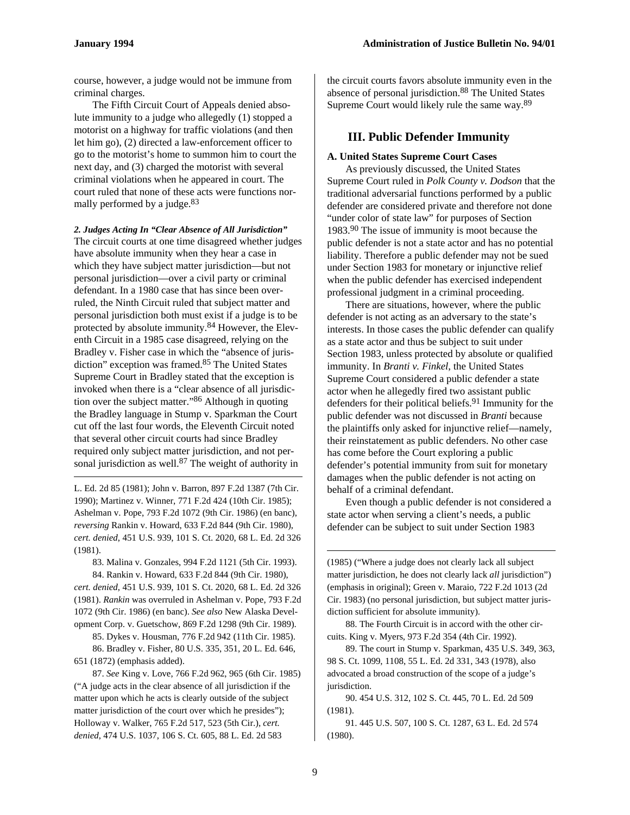$\overline{a}$ 

course, however, a judge would not be immune from criminal charges.

The Fifth Circuit Court of Appeals denied absolute immunity to a judge who allegedly (1) stopped a motorist on a highway for traffic violations (and then let him go), (2) directed a law-enforcement officer to go to the motorist's home to summon him to court the next day, and (3) charged the motorist with several criminal violations when he appeared in court. The court ruled that none of these acts were functions normally performed by a judge.<sup>83</sup>

*2. Judges Acting In "Clear Absence of All Jurisdiction"*  The circuit courts at one time disagreed whether judges have absolute immunity when they hear a case in which they have subject matter jurisdiction—but not personal jurisdiction—over a civil party or criminal defendant. In a 1980 case that has since been overruled, the Ninth Circuit ruled that subject matter and personal jurisdiction both must exist if a judge is to be protected by absolute immunity.84 However, the Eleventh Circuit in a 1985 case disagreed, relying on the Bradley v. Fisher case in which the "absence of jurisdiction" exception was framed.85 The United States Supreme Court in Bradley stated that the exception is invoked when there is a "clear absence of all jurisdiction over the subject matter."86 Although in quoting the Bradley language in Stump v. Sparkman the Court cut off the last four words, the Eleventh Circuit noted that several other circuit courts had since Bradley required only subject matter jurisdiction, and not personal jurisdiction as well.<sup>87</sup> The weight of authority in

L. Ed. 2d 85 (1981); John v. Barron, 897 F.2d 1387 (7th Cir. 1990); Martinez v. Winner, 771 F.2d 424 (10th Cir. 1985); Ashelman v. Pope, 793 F.2d 1072 (9th Cir. 1986) (en banc), *reversing* Rankin v. Howard, 633 F.2d 844 (9th Cir. 1980), *cert. denied*, 451 U.S. 939, 101 S. Ct. 2020, 68 L. Ed. 2d 326 (1981).

83. Malina v. Gonzales, 994 F.2d 1121 (5th Cir. 1993).

84. Rankin v. Howard, 633 F.2d 844 (9th Cir. 1980), *cert. denied*, 451 U.S. 939, 101 S. Ct. 2020, 68 L. Ed. 2d 326 (1981). *Rankin* was overruled in Ashelman v. Pope, 793 F.2d 1072 (9th Cir. 1986) (en banc). *See also* New Alaska Development Corp. v. Guetschow, 869 F.2d 1298 (9th Cir. 1989).

85. Dykes v. Housman, 776 F.2d 942 (11th Cir. 1985).

86. Bradley v. Fisher, 80 U.S. 335, 351, 20 L. Ed. 646, 651 (1872) (emphasis added).

87. *See* King v. Love, 766 F.2d 962, 965 (6th Cir. 1985) ("A judge acts in the clear absence of all jurisdiction if the matter upon which he acts is clearly outside of the subject matter jurisdiction of the court over which he presides"); Holloway v. Walker, 765 F.2d 517, 523 (5th Cir.), *cert. denied*, 474 U.S. 1037, 106 S. Ct. 605, 88 L. Ed. 2d 583

the circuit courts favors absolute immunity even in the absence of personal jurisdiction.<sup>88</sup> The United States Supreme Court would likely rule the same way.89

## **III. Public Defender Immunity**

#### **A. United States Supreme Court Cases**

As previously discussed, the United States Supreme Court ruled in *Polk County v. Dodson* that the traditional adversarial functions performed by a public defender are considered private and therefore not done "under color of state law" for purposes of Section 1983.90 The issue of immunity is moot because the public defender is not a state actor and has no potential liability. Therefore a public defender may not be sued under Section 1983 for monetary or injunctive relief when the public defender has exercised independent professional judgment in a criminal proceeding.

There are situations, however, where the public defender is not acting as an adversary to the state's interests. In those cases the public defender can qualify as a state actor and thus be subject to suit under Section 1983, unless protected by absolute or qualified immunity. In *Branti v. Finkel*, the United States Supreme Court considered a public defender a state actor when he allegedly fired two assistant public defenders for their political beliefs.<sup>91</sup> Immunity for the public defender was not discussed in *Branti* because the plaintiffs only asked for injunctive relief—namely, their reinstatement as public defenders. No other case has come before the Court exploring a public defender's potential immunity from suit for monetary damages when the public defender is not acting on behalf of a criminal defendant.

Even though a public defender is not considered a state actor when serving a client's needs, a public defender can be subject to suit under Section 1983

(1985) ("Where a judge does not clearly lack all subject matter jurisdiction, he does not clearly lack *all* jurisdiction") (emphasis in original); Green v. Maraio, 722 F.2d 1013 (2d Cir. 1983) (no personal jurisdiction, but subject matter jurisdiction sufficient for absolute immunity).

88. The Fourth Circuit is in accord with the other circuits. King v. Myers, 973 F.2d 354 (4th Cir. 1992).

89. The court in Stump v. Sparkman, 435 U.S. 349, 363, 98 S. Ct. 1099, 1108, 55 L. Ed. 2d 331, 343 (1978), also advocated a broad construction of the scope of a judge's jurisdiction.

90. 454 U.S. 312, 102 S. Ct. 445, 70 L. Ed. 2d 509 (1981).

91. 445 U.S. 507, 100 S. Ct. 1287, 63 L. Ed. 2d 574 (1980).

1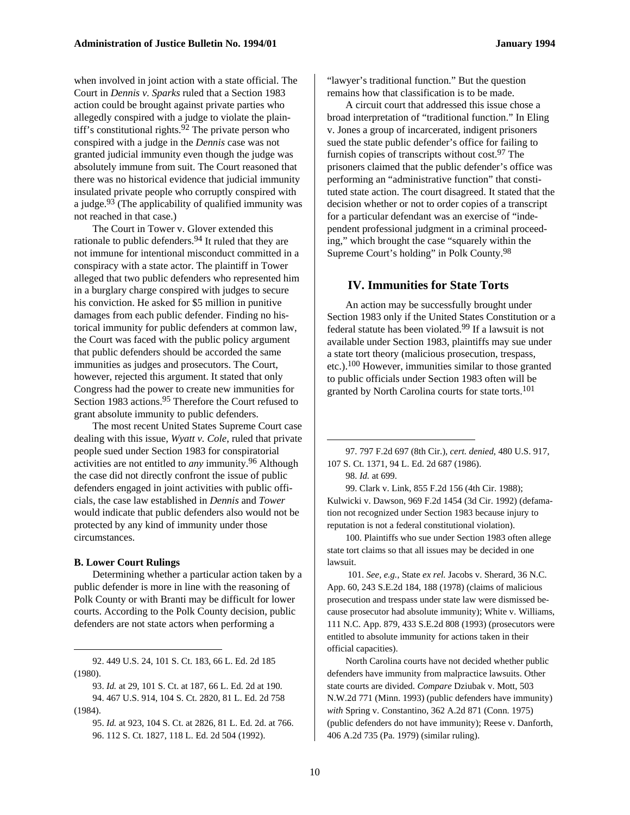when involved in joint action with a state official. The Court in *Dennis v. Sparks* ruled that a Section 1983 action could be brought against private parties who allegedly conspired with a judge to violate the plaintiff's constitutional rights. $92$  The private person who conspired with a judge in the *Dennis* case was not granted judicial immunity even though the judge was absolutely immune from suit. The Court reasoned that there was no historical evidence that judicial immunity insulated private people who corruptly conspired with a judge. $93$  (The applicability of qualified immunity was not reached in that case.)

The Court in Tower v. Glover extended this rationale to public defenders.<sup>94</sup> It ruled that they are not immune for intentional misconduct committed in a conspiracy with a state actor. The plaintiff in Tower alleged that two public defenders who represented him in a burglary charge conspired with judges to secure his conviction. He asked for \$5 million in punitive damages from each public defender. Finding no historical immunity for public defenders at common law, the Court was faced with the public policy argument that public defenders should be accorded the same immunities as judges and prosecutors. The Court, however, rejected this argument. It stated that only Congress had the power to create new immunities for Section 1983 actions.<sup>95</sup> Therefore the Court refused to grant absolute immunity to public defenders.

The most recent United States Supreme Court case dealing with this issue, *Wyatt v. Cole*, ruled that private people sued under Section 1983 for conspiratorial activities are not entitled to *any* immunity.96 Although the case did not directly confront the issue of public defenders engaged in joint activities with public officials, the case law established in *Dennis* and *Tower* would indicate that public defenders also would not be protected by any kind of immunity under those circumstances.

#### **B. Lower Court Rulings**

 $\overline{a}$ 

Determining whether a particular action taken by a public defender is more in line with the reasoning of Polk County or with Branti may be difficult for lower courts. According to the Polk County decision, public defenders are not state actors when performing a

92. 449 U.S. 24, 101 S. Ct. 183, 66 L. Ed. 2d 185 (1980).

"lawyer's traditional function." But the question remains how that classification is to be made.

A circuit court that addressed this issue chose a broad interpretation of "traditional function." In Eling v. Jones a group of incarcerated, indigent prisoners sued the state public defender's office for failing to furnish copies of transcripts without cost. $97$  The prisoners claimed that the public defender's office was performing an "administrative function" that constituted state action. The court disagreed. It stated that the decision whether or not to order copies of a transcript for a particular defendant was an exercise of "independent professional judgment in a criminal proceeding," which brought the case "squarely within the Supreme Court's holding" in Polk County.98

#### **IV. Immunities for State Torts**

An action may be successfully brought under Section 1983 only if the United States Constitution or a federal statute has been violated.99 If a lawsuit is not available under Section 1983, plaintiffs may sue under a state tort theory (malicious prosecution, trespass, etc.).100 However, immunities similar to those granted to public officials under Section 1983 often will be granted by North Carolina courts for state torts.<sup>101</sup>

97. 797 F.2d 697 (8th Cir.), *cert. denied*, 480 U.S. 917, 107 S. Ct. 1371, 94 L. Ed. 2d 687 (1986).

98. *Id.* at 699.

 $\overline{a}$ 

99. Clark v. Link, 855 F.2d 156 (4th Cir. 1988); Kulwicki v. Dawson, 969 F.2d 1454 (3d Cir. 1992) (defamation not recognized under Section 1983 because injury to reputation is not a federal constitutional violation).

100. Plaintiffs who sue under Section 1983 often allege state tort claims so that all issues may be decided in one lawsuit.

101. *See, e.g.,* State *ex rel.* Jacobs v. Sherard, 36 N.C. App. 60, 243 S.E.2d 184, 188 (1978) (claims of malicious prosecution and trespass under state law were dismissed because prosecutor had absolute immunity); White v. Williams, 111 N.C. App. 879, 433 S.E.2d 808 (1993) (prosecutors were entitled to absolute immunity for actions taken in their official capacities).

North Carolina courts have not decided whether public defenders have immunity from malpractice lawsuits. Other state courts are divided. *Compare* Dziubak v. Mott, 503 N.W.2d 771 (Minn. 1993) (public defenders have immunity) *with* Spring v. Constantino, 362 A.2d 871 (Conn. 1975) (public defenders do not have immunity); Reese v. Danforth, 406 A.2d 735 (Pa. 1979) (similar ruling).

<sup>93.</sup> *Id.* at 29, 101 S. Ct. at 187, 66 L. Ed. 2d at 190. 94. 467 U.S. 914, 104 S. Ct. 2820, 81 L. Ed. 2d 758 (1984).

<sup>95.</sup> *Id.* at 923, 104 S. Ct. at 2826, 81 L. Ed. 2d. at 766. 96. 112 S. Ct. 1827, 118 L. Ed. 2d 504 (1992).